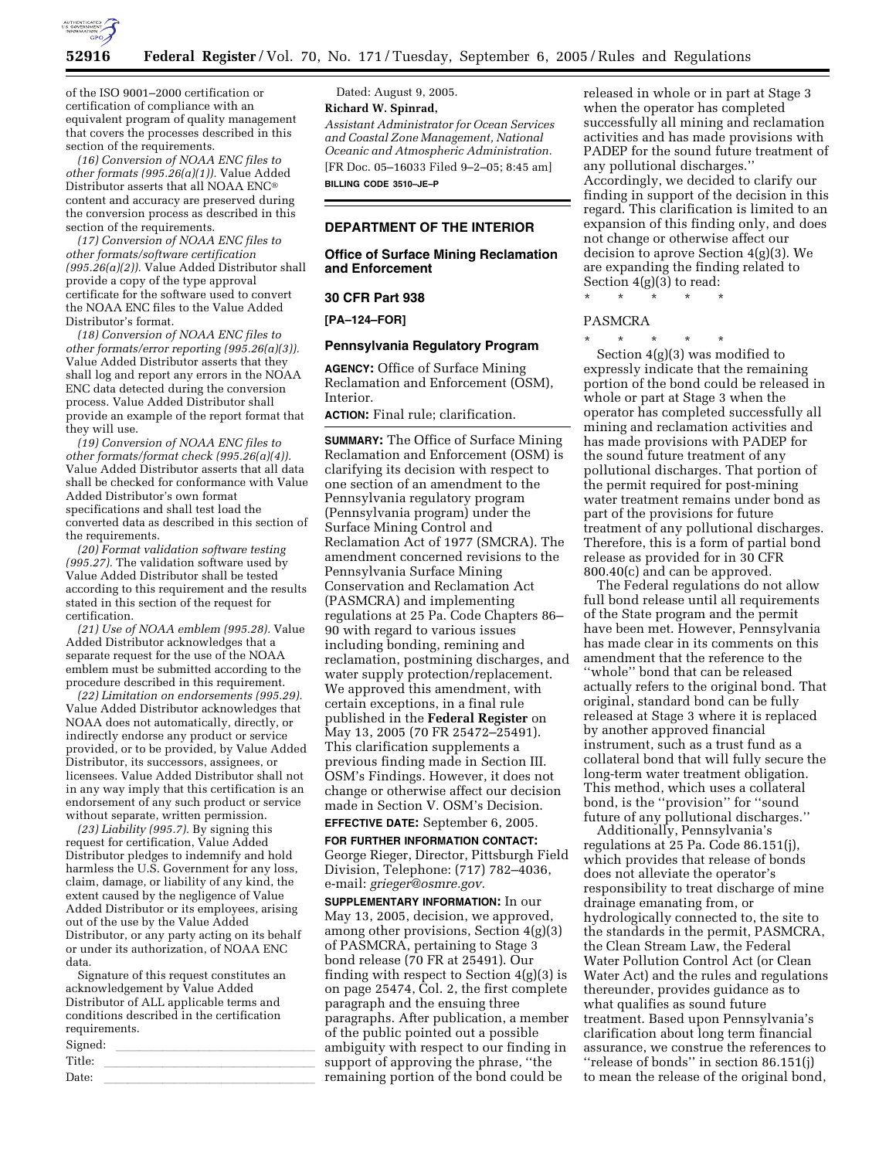

of the ISO 9001–2000 certification or certification of compliance with an equivalent program of quality management that covers the processes described in this section of the requirements.

*(16) Conversion of NOAA ENC files to other formats (995.26(a)(1)).* Value Added Distributor asserts that all NOAA ENC content and accuracy are preserved during the conversion process as described in this section of the requirements.

*(17) Conversion of NOAA ENC files to other formats/software certification (995.26(a)(2)).* Value Added Distributor shall provide a copy of the type approval certificate for the software used to convert the NOAA ENC files to the Value Added Distributor's format.

*(18) Conversion of NOAA ENC files to other formats/error reporting (995.26(a)(3)).*  Value Added Distributor asserts that they shall log and report any errors in the NOAA ENC data detected during the conversion process. Value Added Distributor shall provide an example of the report format that they will use.

*(19) Conversion of NOAA ENC files to other formats/format check (995.26(a)(4)).*  Value Added Distributor asserts that all data shall be checked for conformance with Value Added Distributor's own format specifications and shall test load the converted data as described in this section of the requirements.

*(20) Format validation software testing (995.27).* The validation software used by Value Added Distributor shall be tested according to this requirement and the results stated in this section of the request for certification.

*(21) Use of NOAA emblem (995.28).* Value Added Distributor acknowledges that a separate request for the use of the NOAA emblem must be submitted according to the procedure described in this requirement.

*(22) Limitation on endorsements (995.29).*  Value Added Distributor acknowledges that NOAA does not automatically, directly, or indirectly endorse any product or service provided, or to be provided, by Value Added Distributor, its successors, assignees, or licensees. Value Added Distributor shall not in any way imply that this certification is an endorsement of any such product or service without separate, written permission.

*(23) Liability (995.7).* By signing this request for certification, Value Added Distributor pledges to indemnify and hold harmless the U.S. Government for any loss, claim, damage, or liability of any kind, the extent caused by the negligence of Value Added Distributor or its employees, arising out of the use by the Value Added Distributor, or any party acting on its behalf or under its authorization, of NOAA ENC data.

Signature of this request constitutes an acknowledgement by Value Added Distributor of ALL applicable terms and conditions described in the certification requirements.

| Signed: | ∼ |
|---------|---|
| Title:  |   |
| Date:   |   |
|         |   |

Dated: August 9, 2005. **Richard W. Spinrad,**  *Assistant Administrator for Ocean Services and Coastal Zone Management, National Oceanic and Atmospheric Administration.*  [FR Doc. 05–16033 Filed 9–2–05; 8:45 am] **BILLING CODE 3510–JE–P** 

#### **DEPARTMENT OF THE INTERIOR**

#### **Office of Surface Mining Reclamation and Enforcement**

#### **30 CFR Part 938**

#### **[PA–124–FOR]**

#### **Pennsylvania Regulatory Program**

**AGENCY:** Office of Surface Mining Reclamation and Enforcement (OSM), Interior.

**ACTION:** Final rule; clarification.

**SUMMARY:** The Office of Surface Mining Reclamation and Enforcement (OSM) is clarifying its decision with respect to one section of an amendment to the Pennsylvania regulatory program (Pennsylvania program) under the Surface Mining Control and Reclamation Act of 1977 (SMCRA). The amendment concerned revisions to the Pennsylvania Surface Mining Conservation and Reclamation Act (PASMCRA) and implementing regulations at 25 Pa. Code Chapters 86– 90 with regard to various issues including bonding, remining and reclamation, postmining discharges, and water supply protection/replacement. We approved this amendment, with certain exceptions, in a final rule published in the **Federal Register** on May 13, 2005 (70 FR 25472–25491). This clarification supplements a previous finding made in Section III. OSM's Findings. However, it does not change or otherwise affect our decision made in Section V. OSM's Decision.

# **EFFECTIVE DATE:** September 6, 2005.

**FOR FURTHER INFORMATION CONTACT:**  George Rieger, Director, Pittsburgh Field Division, Telephone: (717) 782–4036, e-mail: *grieger@osmre.gov.* 

**SUPPLEMENTARY INFORMATION:** In our May 13, 2005, decision, we approved, among other provisions, Section 4(g)(3) of PASMCRA, pertaining to Stage 3 bond release (70 FR at 25491). Our finding with respect to Section  $4(g)(3)$  is on page 25474, Col. 2, the first complete paragraph and the ensuing three paragraphs. After publication, a member of the public pointed out a possible ambiguity with respect to our finding in support of approving the phrase, ''the emaining portion of the bond could be

released in whole or in part at Stage 3 when the operator has completed successfully all mining and reclamation activities and has made provisions with PADEP for the sound future treatment of any pollutional discharges.'' Accordingly, we decided to clarify our finding in support of the decision in this regard. This clarification is limited to an expansion of this finding only, and does not change or otherwise affect our decision to aprove Section 4(g)(3). We are expanding the finding related to Section 4(g)(3) to read:

\* \* \* \* \*

#### PASMCRA

\* \* \* \* \* Section 4(g)(3) was modified to expressly indicate that the remaining portion of the bond could be released in whole or part at Stage 3 when the operator has completed successfully all mining and reclamation activities and has made provisions with PADEP for the sound future treatment of any pollutional discharges. That portion of the permit required for post-mining water treatment remains under bond as part of the provisions for future treatment of any pollutional discharges. Therefore, this is a form of partial bond release as provided for in 30 CFR 800.40(c) and can be approved.

The Federal regulations do not allow full bond release until all requirements of the State program and the permit have been met. However, Pennsylvania has made clear in its comments on this amendment that the reference to the ''whole'' bond that can be released actually refers to the original bond. That original, standard bond can be fully released at Stage 3 where it is replaced by another approved financial instrument, such as a trust fund as a collateral bond that will fully secure the long-term water treatment obligation. This method, which uses a collateral bond, is the ''provision'' for ''sound future of any pollutional discharges.''

Additionally, Pennsylvania's regulations at 25 Pa. Code 86.151(j), which provides that release of bonds does not alleviate the operator's responsibility to treat discharge of mine drainage emanating from, or hydrologically connected to, the site to the standards in the permit, PASMCRA, the Clean Stream Law, the Federal Water Pollution Control Act (or Clean Water Act) and the rules and regulations thereunder, provides guidance as to what qualifies as sound future treatment. Based upon Pennsylvania's clarification about long term financial assurance, we construe the references to ''release of bonds'' in section 86.151(j) to mean the release of the original bond,